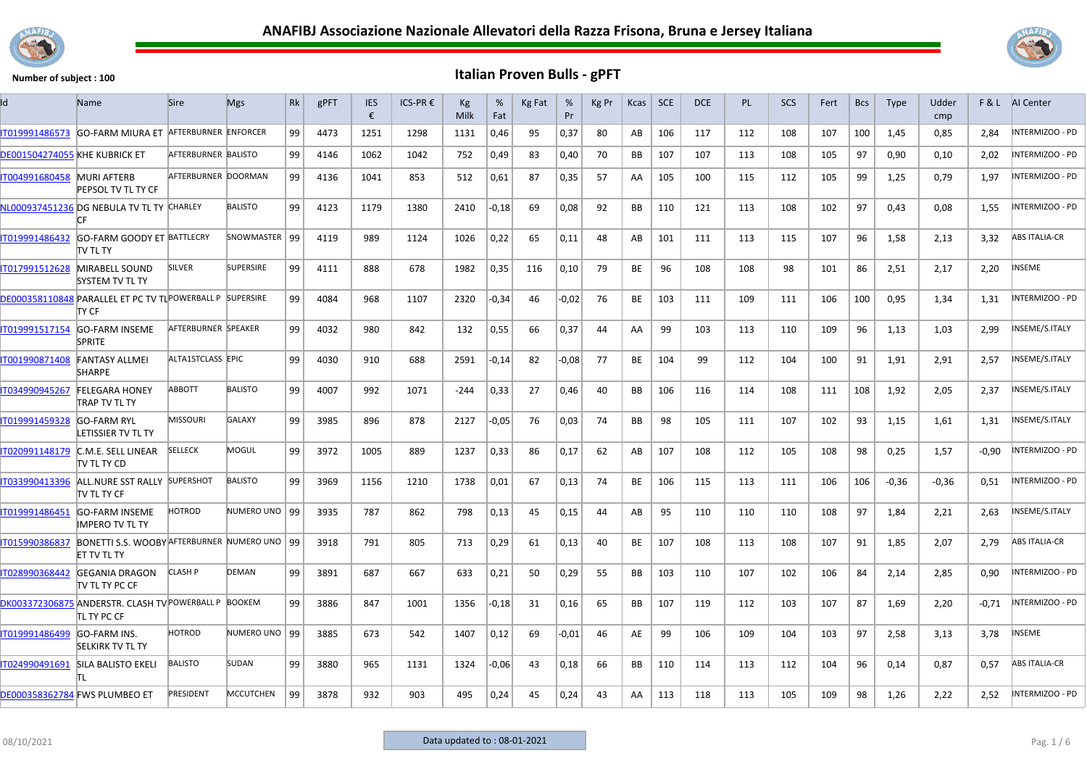



| ıd                            | <b>Name</b>                                                                | <b>Sire</b>          | <b>Mgs</b>       | Rk | gPFT | <b>IES</b><br>€ | $ICS-PR$ € | Kg<br>Milk | %<br>Fat | Kg Fat | %<br>Pr | Kg Pr | Kcas      | <b>SCE</b> | <b>DCE</b> | <b>PL</b> | <b>SCS</b> | Fert | <b>Bcs</b> | <b>Type</b> | Udder<br>cmp |         | <b>F&amp;L</b> AI Center |
|-------------------------------|----------------------------------------------------------------------------|----------------------|------------------|----|------|-----------------|------------|------------|----------|--------|---------|-------|-----------|------------|------------|-----------|------------|------|------------|-------------|--------------|---------|--------------------------|
| IT019991486573                | <b>GO-FARM MIURA ET</b>                                                    | AFTERBURNER ENFORCER |                  | 99 | 4473 | 1251            | 1298       | 1131       | 0,46     | 95     | 0,37    | 80    | AB        | 106        | 117        | 112       | 108        | 107  | 100        | 1.45        | 0,85         | 2.84    | NTERMIZOO - PD           |
| DE001504274055 KHE KUBRICK ET |                                                                            | AFTERBURNER BALISTO  |                  | 99 | 4146 | 1062            | 1042       | 752        | 0,49     | 83     | 0,40    | 70    | ВB        | 107        | 107        | 113       | 108        | 105  | 97         | 0,90        | 0,10         | 2,02    | INTERMIZOO - PD          |
| IT004991680458                | <b>MURI AFTERB</b><br>PEPSOL TV TL TY CF                                   | AFTERBURNER DOORMAN  |                  | 99 | 4136 | 1041            | 853        | 512        | 0,61     | 87     | 0,35    | 57    | AA        | 105        | 100        | 115       | 112        | 105  | 99         | 1,25        | 0,79         | 1,97    | INTERMIZOO - PD          |
|                               | NL000937451236 DG NEBULA TV TL TY CHARLEY<br>ГF                            |                      | <b>BALISTO</b>   | 99 | 4123 | 1179            | 1380       | 2410       | $-0,18$  | 69     | 0,08    | 92    | <b>BB</b> | 110        | 121        | 113       | 108        | 102  | 97         | 0,43        | 0,08         | 1,55    | INTERMIZOO - PD          |
| IT019991486432                | <b>GO-FARM GOODY ET BATTLECRY</b><br>TV TL TY                              |                      | SNOWMASTER   99  |    | 4119 | 989             | 1124       | 1026       | 0,22     | 65     | 0,11    | 48    | AB        | 101        | 111        | 113       | 115        | 107  | 96         | 1,58        | 2,13         | 3,32    | <b>ABS ITALIA-CR</b>     |
| IT017991512628                | MIRABELL SOUND<br>SYSTEM TV TL TY                                          | <b>SILVER</b>        | <b>SUPERSIRE</b> | 99 | 4111 | 888             | 678        | 1982       | 0,35     | 116    | 0,10    | 79    | BE        | 96         | 108        | 108       | 98         | 101  | 86         | 2,51        | 2,17         | 2,20    | NSEME                    |
|                               | DE000358110848 PARALLEL ET PC TV TL POWERBALL P SUPERSIRE<br>TY CF         |                      |                  | 99 | 4084 | 968             | 1107       | 2320       | -0,34    | 46     | $-0.02$ | 76    | BE        | 103        | 111        | 109       | 111        | 106  | 100        | 0,95        | 1,34         | 1,31    | INTERMIZOO - PD          |
| IT019991517154                | GO-FARM INSEME<br><b>SPRITE</b>                                            | AFTERBURNER SPEAKER  |                  | 99 | 4032 | 980             | 842        | 132        | 0,55     | 66     | 0,37    | 44    | AA.       | 99         | 103        | 113       | 110        | 109  | 96         | 1,13        | 1,03         | 2,99    | INSEME/S.ITALY           |
| IT001990871408                | <b>FANTASY ALLMEI</b><br><b>SHARPE</b>                                     | ALTA1STCLASS EPIC    |                  | 99 | 4030 | 910             | 688        | 2591       | $-0,14$  | 82     | $-0,08$ | 77    | BE        | 104        | 99         | 112       | 104        | 100  | 91         | 1,91        | 2,91         | 2,57    | INSEME/S.ITALY           |
| IT034990945267                | <b>FELEGARA HONEY</b><br><b>TRAP TV TL TY</b>                              | ABBOTT               | <b>BALISTO</b>   | 99 | 4007 | 992             | 1071       | $-244$     | 0,33     | 27     | 0,46    | 40    | BB        | 106        | 116        | 114       | 108        | 111  | 108        | 1,92        | 2,05         | 2,37    | INSEME/S.ITALY           |
| IT019991459328                | <b>GO-FARM RYL</b><br>LETISSIER TV TL TY                                   | <b>MISSOURI</b>      | <b>GALAXY</b>    | 99 | 3985 | 896             | 878        | 2127       | -0,05    | 76     | 0,03    | 74    | BB        | 98         | 105        | 111       | 107        | 102  | 93         | 1,15        | 1,61         | 1,31    | INSEME/S.ITALY           |
| IT020991148179                | C.M.E. SELL LINEAR<br>itv tl ty CD                                         | <b>SELLECK</b>       | MOGUL            | 99 | 3972 | 1005            | 889        | 1237       | 0,33     | 86     | 0,17    | 62    | AB        | 107        | 108        | 112       | 105        | 108  | 98         | 0,25        | 1,57         | $-0.90$ | INTERMIZOO - PD          |
| IT033990413396                | ALL.NURE SST RALLY SUPERSHOT<br>itv tl ty CF                               |                      | <b>BALISTO</b>   | 99 | 3969 | 1156            | 1210       | 1738       | 0,01     | 67     | 0,13    | 74    | BE        | 106        | 115        | 113       | 111        | 106  | 106        | $-0,36$     | $-0,36$      | 0,51    | INTERMIZOO - PD          |
| IT019991486451                | <b>GO-FARM INSEME</b><br><b>IMPERO TV TL TY</b>                            | HOTROD               | NUMERO UNO   99  |    | 3935 | 787             | 862        | 798        | 0,13     | 45     | 0,15    | 44    | AB        | 95         | 110        | 110       | 110        | 108  | 97         | 1,84        | 2,21         | 2,63    | INSEME/S.ITALY           |
| IT015990386837                | BONETTI S.S. WOOBY AFTERBURNER NUMERO UNO   99<br>ET TV TL TY              |                      |                  |    | 3918 | 791             | 805        | 713        | 0,29     | 61     | 0,13    | 40    | BE        | 107        | 108        | 113       | 108        | 107  | 91         | 1,85        | 2,07         | 2,79    | <b>ABS ITALIA-CR</b>     |
| IT028990368442                | <b>GEGANIA DRAGON</b><br><b>ITV TL TY PC CF</b>                            | <b>CLASH P</b>       | <b>DEMAN</b>     | 99 | 3891 | 687             | 667        | 633        | 0,21     | 50     | 0,29    | 55    | BB        | 103        | 110        | 107       | 102        | 106  | 84         | 2,14        | 2,85         | 0,90    | NTERMIZOO - PD           |
|                               | DK003372306875 ANDERSTR. CLASH TV POWERBALL P BOOKEM<br><b>TL TY PC CF</b> |                      |                  | 99 | 3886 | 847             | 1001       | 1356       | $-0,18$  | 31     | 0,16    | 65    | BB        | 107        | 119        | 112       | 103        | 107  | 87         | 1,69        | 2,20         | $-0,71$ | INTERMIZOO - PD          |
| IT019991486499                | <b>GO-FARM INS.</b><br><b>SELKIRK TV TL TY</b>                             | <b>HOTROD</b>        | NUMERO UNO   99  |    | 3885 | 673             | 542        | 1407       | 0,12     | 69     | $-0,01$ | 46    | AE        | 99         | 106        | 109       | 104        | 103  | 97         | 2,58        | 3,13         | 3,78    | INSEME                   |
| IT024990491691                | SILA BALISTO EKELI                                                         | <b>BALISTO</b>       | SUDAN            | 99 | 3880 | 965             | 1131       | 1324       | -0,06    | 43     | 0,18    | 66    | BB        | 110        | 114        | 113       | 112        | 104  | 96         | 0,14        | 0,87         | 0,57    | ABS ITALIA-CR            |
|                               | <b>DE000358362784 FWS PLUMBEO ET</b>                                       | <b>PRESIDENT</b>     | <b>MCCUTCHEN</b> | 99 | 3878 | 932             | 903        | 495        | 0,24     | 45     | 0,24    | 43    | AA        | 113        | 118        | 113       | 105        | 109  | 98         | 1,26        | 2,22         | 2,52    | INTERMIZOO - PD          |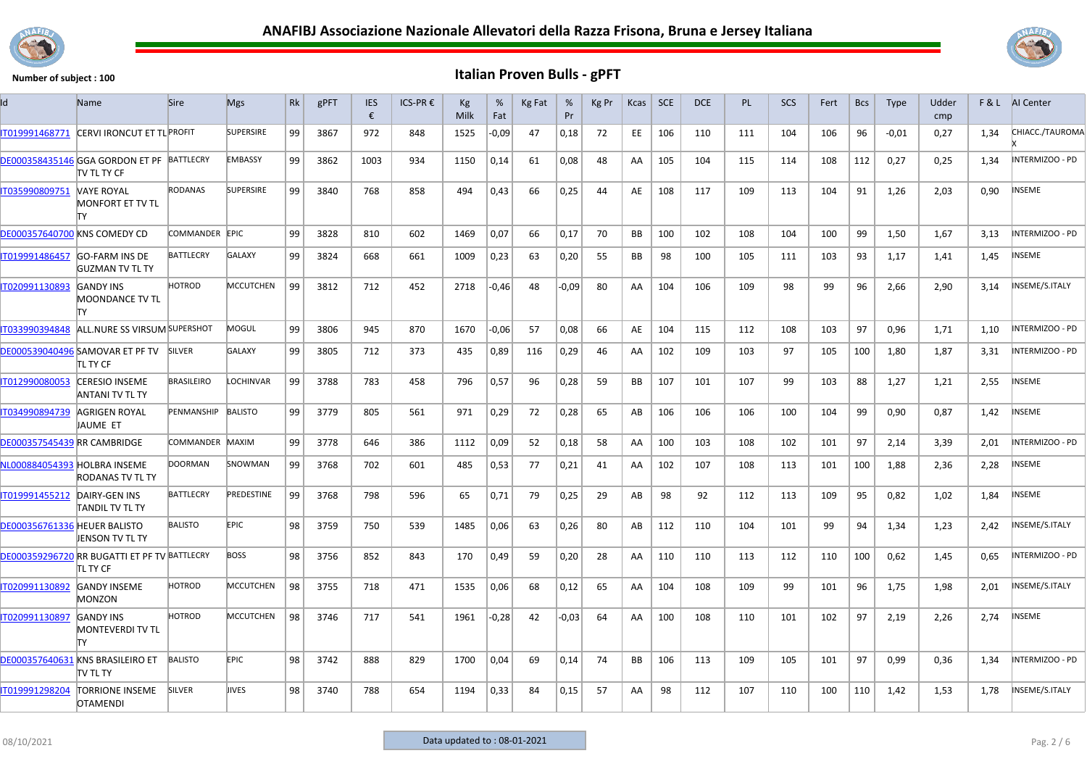



| ld                                  | Name                                                             | <b>Sire</b>       | <b>Mgs</b>       | Rk | gPFT | <b>IES</b><br>€ | ICS-PR € | Kg<br>Milk | %<br>Fat | Kg Fat | %<br>Pr | Kg Pr | Kcas      | SCE | <b>DCE</b> | PL. | <b>SCS</b> | Fert | <b>Bcs</b> | <b>Type</b> | Udder<br>cmp | F&L  | AI Center       |
|-------------------------------------|------------------------------------------------------------------|-------------------|------------------|----|------|-----------------|----------|------------|----------|--------|---------|-------|-----------|-----|------------|-----|------------|------|------------|-------------|--------------|------|-----------------|
| IT019991468771                      | CERVI IRONCUT ET TL PROFIT                                       |                   | <b>SUPERSIRE</b> | 99 | 3867 | 972             | 848      | 1525       | $-0.09$  | 47     | 0,18    | 72    | EE.       | 106 | 110        | 111 | 104        | 106  | 96         | $-0.01$     | 0.27         | 1,34 | CHIACC./TAUROMA |
|                                     | DE000358435146 GGA GORDON ET PF BATTLECRY<br><b>ITV TL TY CF</b> |                   | <b>EMBASSY</b>   | 99 | 3862 | 1003            | 934      | 1150       | 0,14     | 61     | 0,08    | 48    | AA        | 105 | 104        | 115 | 114        | 108  | 112        | 0,27        | 0,25         | 1,34 | INTERMIZOO - PD |
| IT035990809751                      | VAYE ROYAL<br><b>MONFORT ET TV TL</b><br>lΤY                     | <b>RODANAS</b>    | <b>SUPERSIRE</b> | 99 | 3840 | 768             | 858      | 494        | 0,43     | 66     | 0,25    | 44    | AE        | 108 | 117        | 109 | 113        | 104  | 91         | 1,26        | 2,03         | 0,90 | NSEME           |
|                                     | <b>DE000357640700 KNS COMEDY CD</b>                              | COMMANDER EPIC    |                  | 99 | 3828 | 810             | 602      | 1469       | 0,07     | 66     | 0.17    | 70    | BB        | 100 | 102        | 108 | 104        | 100  | 99         | 1.50        | 1.67         | 3.13 | INTERMIZOO - PD |
| IT019991486457                      | <b>GO-FARM INS DE</b><br><b>GUZMAN TV TL TY</b>                  | <b>BATTLECRY</b>  | <b>GALAXY</b>    | 99 | 3824 | 668             | 661      | 1009       | 0,23     | 63     | 0,20    | 55    | <b>BB</b> | 98  | 100        | 105 | 111        | 103  | 93         | 1,17        | 1,41         | 1,45 | <b>NSEME</b>    |
| IT020991130893                      | <b>GANDY INS</b><br><b>MOONDANCE TV TL</b><br>lΤY                | <b>HOTROD</b>     | <b>MCCUTCHEN</b> | 99 | 3812 | 712             | 452      | 2718       | $-0,46$  | 48     | $-0.09$ | 80    | AA        | 104 | 106        | 109 | 98         | 99   | 96         | 2,66        | 2,90         | 3,14 | INSEME/S.ITALY  |
| IT033990394848                      | ALL.NURE SS VIRSUM SUPERSHOT                                     |                   | <b>MOGUL</b>     | 99 | 3806 | 945             | 870      | 1670       | $-0.06$  | 57     | 0,08    | 66    | AE        | 104 | 115        | 112 | 108        | 103  | 97         | 0.96        | 1,71         | 1,10 | INTERMIZOO - PD |
|                                     | DE000539040496 SAMOVAR ET PF TV<br>itl ty CF                     | SILVER            | <b>GALAXY</b>    | 99 | 3805 | 712             | 373      | 435        | 0,89     | 116    | 0,29    | 46    | AA        | 102 | 109        | 103 | 97         | 105  | 100        | 1,80        | 1,87         | 3,31 | INTERMIZOO - PD |
| IT012990080053                      | <b>CERESIO INSEME</b><br>ANTANI TV TL TY                         | <b>BRASILEIRO</b> | LOCHINVAR        | 99 | 3788 | 783             | 458      | 796        | 0,57     | 96     | 0,28    | 59    | BB        | 107 | 101        | 107 | 99         | 103  | 88         | 1,27        | 1,21         | 2,55 | NSEME           |
| IT034990894739                      | AGRIGEN ROYAL<br>JAUME ET                                        | PENMANSHIP        | <b>BALISTO</b>   | 99 | 3779 | 805             | 561      | 971        | 0,29     | 72     | 0,28    | 65    | AB        | 106 | 106        | 106 | 100        | 104  | 99         | 0,90        | 0,87         | 1,42 | <b>NSEME</b>    |
| DE000357545439 RR CAMBRIDGE         |                                                                  | COMMANDER MAXIM   |                  | 99 | 3778 | 646             | 386      | 1112       | 0,09     | 52     | 0,18    | 58    | AA        | 100 | 103        | 108 | 102        | 101  | 97         | 2,14        | 3,39         | 2,01 | INTERMIZOO - PD |
| NL000884054393 HOLBRA INSEME        | <b>RODANAS TV TL TY</b>                                          | <b>DOORMAN</b>    | SNOWMAN          | 99 | 3768 | 702             | 601      | 485        | 0,53     | 77     | 0,21    | 41    | AA        | 102 | 107        | 108 | 113        | 101  | 100        | 1,88        | 2,36         | 2,28 | NSEME           |
| IT019991455212                      | <b>DAIRY-GEN INS</b><br>TANDIL TV TL TY                          | <b>BATTLECRY</b>  | PREDESTINE       | 99 | 3768 | 798             | 596      | 65         | 0,71     | 79     | 0,25    | 29    | AB        | 98  | 92         | 112 | 113        | 109  | 95         | 0,82        | 1,02         | 1,84 | NSEME           |
| <b>DE000356761336 HEUER BALISTO</b> | <b>JENSON TV TL TY</b>                                           | <b>BALISTO</b>    | <b>EPIC</b>      | 98 | 3759 | 750             | 539      | 1485       | 0,06     | 63     | 0,26    | 80    | AB        | 112 | 110        | 104 | 101        | 99   | 94         | 1,34        | 1,23         | 2,42 | INSEME/S.ITALY  |
|                                     | DE000359296720 RR BUGATTI ET PF TV BATTLECRY<br><b>ITL TY CF</b> |                   | <b>BOSS</b>      | 98 | 3756 | 852             | 843      | 170        | 0,49     | 59     | 0,20    | 28    | AA        | 110 | 110        | 113 | 112        | 110  | 100        | 0,62        | 1,45         | 0,65 | INTERMIZOO - PD |
| IT020991130892                      | <b>GANDY INSEME</b><br>MONZON                                    | <b>HOTROD</b>     | <b>MCCUTCHEN</b> | 98 | 3755 | 718             | 471      | 1535       | 0,06     | 68     | 0,12    | 65    | AA        | 104 | 108        | 109 | 99         | 101  | 96         | 1,75        | 1,98         | 2,01 | INSEME/S.ITALY  |
| IT020991130897                      | <b>GANDY INS</b><br><b>MONTEVERDI TV TL</b><br>lΤY               | <b>HOTROD</b>     | <b>MCCUTCHEN</b> | 98 | 3746 | 717             | 541      | 1961       | $-0,28$  | 42     | $-0.03$ | 64    | AA        | 100 | 108        | 110 | 101        | 102  | 97         | 2,19        | 2,26         | 2,74 | <b>NSEME</b>    |
|                                     | DE000357640631 KNS BRASILEIRO ET<br>itv tl ty                    | <b>BALISTO</b>    | <b>EPIC</b>      | 98 | 3742 | 888             | 829      | 1700       | 0,04     | 69     | 0,14    | 74    | BB        | 106 | 113        | 109 | 105        | 101  | 97         | 0,99        | 0,36         | 1,34 | INTERMIZOO - PD |
| IT019991298204                      | <b>TORRIONE INSEME</b><br><b>OTAMENDI</b>                        | <b>SILVER</b>     | JIVES            | 98 | 3740 | 788             | 654      | 1194       | 0,33     | 84     | 0,15    | 57    | AA        | 98  | 112        | 107 | 110        | 100  | 110        | 1,42        | 1,53         | 1,78 | INSEME/S.ITALY  |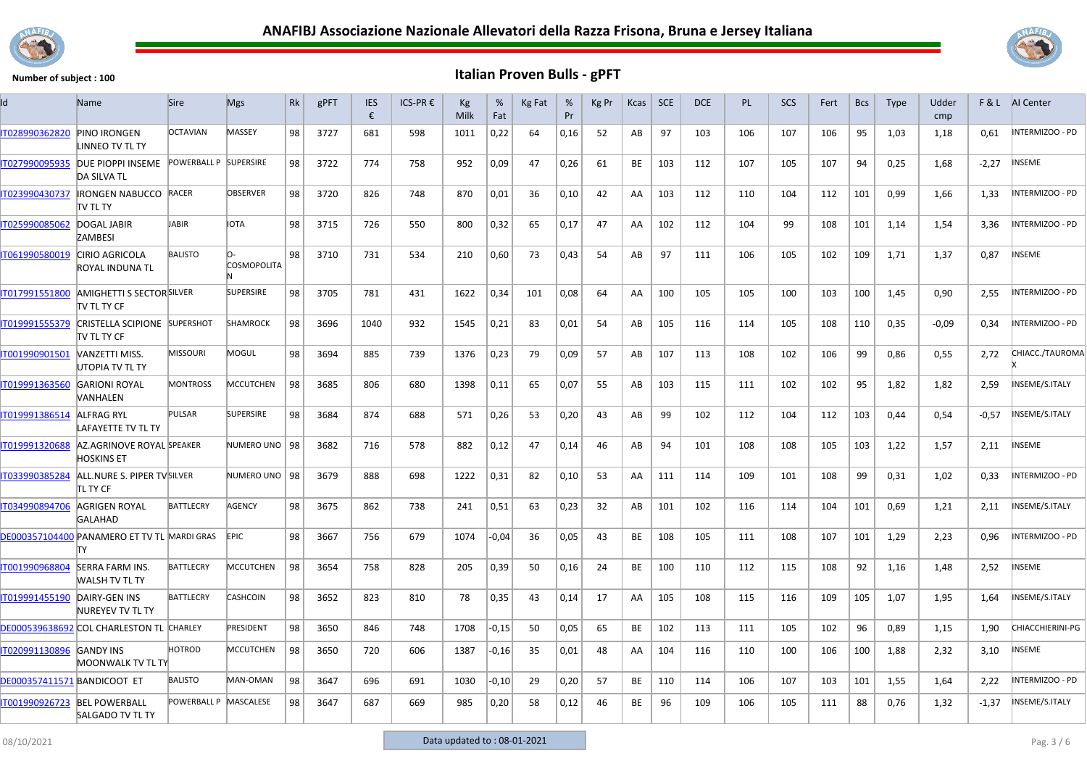



| Id                                 | Name                                                   | <b>Sire</b>           | <b>Mgs</b>         | Rk | gPFT | <b>IES</b><br>€ | ICS-PR € | Кg<br>Milk | %<br>Fat | Kg Fat | %<br>Pr | Kg Pr | Kcas      | <b>SCE</b> | <b>DCE</b> | <b>PL</b> | SCS | Fert | <b>Bcs</b> | <b>Type</b> | Udder<br>cmp | F&L     | Al Center        |
|------------------------------------|--------------------------------------------------------|-----------------------|--------------------|----|------|-----------------|----------|------------|----------|--------|---------|-------|-----------|------------|------------|-----------|-----|------|------------|-------------|--------------|---------|------------------|
| IT028990362820                     | <b>PINO IRONGEN</b><br><b>LINNEO TV TL TY</b>          | <b>OCTAVIAN</b>       | <b>MASSEY</b>      | 98 | 3727 | 681             | 598      | 1011       | 0,22     | 64     | 0,16    | 52    | AB        | 97         | 103        | 106       | 107 | 106  | 95         | 1,03        | 1,18         | 0.61    | INTERMIZOO - PD  |
| IT027990095935                     | DUE PIOPPI INSEME<br><b>DA SILVA TL</b>                | POWERBALL P SUPERSIRE |                    | 98 | 3722 | 774             | 758      | 952        | 0,09     | 47     | 0,26    | 61    | BE        | 103        | 112        | 107       | 105 | 107  | 94         | 0,25        | 1,68         | $-2,27$ | INSEME           |
| IT023990430737                     | <b>IRONGEN NABUCCO RACER</b><br>itv tl ty              |                       | <b>OBSERVER</b>    | 98 | 3720 | 826             | 748      | 870        | 0,01     | 36     | 0,10    | 42    | AA        | 103        | 112        | 110       | 104 | 112  | 101        | 0,99        | 1,66         | 1,33    | INTERMIZOO - PD  |
| IT025990085062                     | <b>DOGAL JABIR</b><br>ZAMBESI                          | JABIR                 | <b>IOTA</b>        | 98 | 3715 | 726             | 550      | 800        | 0,32     | 65     | 0,17    | 47    | AA        | 102        | 112        | 104       | 99  | 108  | 101        | 1,14        | 1,54         | 3,36    | INTERMIZOO - PD  |
| IT061990580019                     | <b>CIRIO AGRICOLA</b><br>ROYAL INDUNA TL               | <b>BALISTO</b>        | <b>COSMOPOLITA</b> | 98 | 3710 | 731             | 534      | 210        | 0,60     | 73     | 0,43    | 54    | AB        | 97         | 111        | 106       | 105 | 102  | 109        | 1,71        | 1,37         | 0,87    | NSEME            |
| IT017991551800                     | <b>AMIGHETTI S SECTOR SILVER</b><br><b>TV TL TY CF</b> |                       | <b>SUPERSIRE</b>   | 98 | 3705 | 781             | 431      | 1622       | 0,34     | 101    | 0,08    | 64    | AA        | 100        | 105        | 105       | 100 | 103  | 100        | 1,45        | 0,90         | 2,55    | INTERMIZOO - PD  |
| IT019991555379                     | CRISTELLA SCIPIONE SUPERSHOT<br>TV TL TY CF            |                       | <b>SHAMROCK</b>    | 98 | 3696 | 1040            | 932      | 1545       | 0,21     | 83     | 0,01    | 54    | AB        | 105        | 116        | 114       | 105 | 108  | 110        | 0,35        | $-0.09$      | 0,34    | INTERMIZOO - PD  |
| IT001990901501                     | VANZETTI MISS.<br>UTOPIA TV TL TY                      | <b>MISSOURI</b>       | MOGUL              | 98 | 3694 | 885             | 739      | 1376       | 0,23     | 79     | 0,09    | 57    | AB        | 107        | 113        | 108       | 102 | 106  | 99         | 0,86        | 0,55         | 2,72    | CHIACC./TAUROMA  |
| IT019991363560                     | <b>GARIONI ROYAL</b><br>VANHALEN                       | <b>MONTROSS</b>       | <b>MCCUTCHEN</b>   | 98 | 3685 | 806             | 680      | 1398       | 0,11     | 65     | 0,07    | 55    | AB        | 103        | 115        | 111       | 102 | 102  | 95         | 1,82        | 1,82         | 2,59    | INSEME/S.ITALY   |
| IT019991386514                     | <b>ALFRAG RYL</b><br>LAFAYETTE TV TL TY                | <b>PULSAR</b>         | <b>SUPERSIRE</b>   | 98 | 3684 | 874             | 688      | 571        | 0,26     | 53     | 0,20    | 43    | AB        | 99         | 102        | 112       | 104 | 112  | 103        | 0,44        | 0,54         | $-0,57$ | INSEME/S.ITALY   |
| IT019991320688                     | AZ.AGRINOVE ROYAL SPEAKER<br>HOSKINS ET                |                       | NUMERO UNO   98    |    | 3682 | 716             | 578      | 882        | 0,12     | 47     | 0,14    | 46    | AB        | 94         | 101        | 108       | 108 | 105  | 103        | 1,22        | 1,57         | 2,11    | NSEME            |
| IT033990385284                     | ALL.NURE S. PIPER TV SILVER<br>TL TY CF                |                       | NUMERO UNO   98    |    | 3679 | 888             | 698      | 1222       | 0,31     | 82     | 0,10    | 53    | AA        | 111        | 114        | 109       | 101 | 108  | 99         | 0,31        | 1,02         | 0,33    | INTERMIZOO - PD  |
| IT034990894706                     | AGRIGEN ROYAL<br><b>GALAHAD</b>                        | BATTLECRY             | AGENCY             | 98 | 3675 | 862             | 738      | 241        | 0,51     | 63     | 0,23    | 32    | AB        | 101        | 102        | 116       | 114 | 104  | 101        | 0,69        | 1,21         | 2,11    | INSEME/S.ITALY   |
|                                    | DE000357104400 PANAMERO ET TV TL MARDI GRAS<br>TY      |                       | <b>EPIC</b>        | 98 | 3667 | 756             | 679      | 1074       | -0,04    | 36     | 0,05    | 43    | BE        | 108        | 105        | 111       | 108 | 107  | 101        | 1,29        | 2,23         | 0,96    | INTERMIZOO - PD  |
| IT001990968804                     | <b>SERRA FARM INS.</b><br><b>WALSH TV TL TY</b>        | <b>BATTLECRY</b>      | <b>MCCUTCHEN</b>   | 98 | 3654 | 758             | 828      | 205        | 0,39     | 50     | 0,16    | 24    | <b>BE</b> | 100        | 110        | 112       | 115 | 108  | 92         | 1,16        | 1,48         | 2,52    | NSEME            |
| IT019991455190                     | DAIRY-GEN INS<br>NUREYEV TV TL TY                      | <b>BATTLECRY</b>      | <b>CASHCOIN</b>    | 98 | 3652 | 823             | 810      | 78         | 0,35     | 43     | 0,14    | 17    | AA        | 105        | 108        | 115       | 116 | 109  | 105        | 1,07        | 1,95         | 1,64    | INSEME/S.ITALY   |
|                                    | DE000539638692 COL CHARLESTON TL CHARLEY               |                       | PRESIDENT          | 98 | 3650 | 846             | 748      | 1708       | $-0,15$  | 50     | 0,05    | 65    | <b>BE</b> | 102        | 113        | 111       | 105 | 102  | 96         | 0,89        | 1,15         | 1,90    | CHIACCHIERINI-PG |
| T020991130896                      | <b>GANDY INS</b><br>MOONWALK TV TL TY                  | HOTROD                | MCCUTCHEN          | 98 | 3650 | 720             | 606      | 1387       | $-0,16$  | 35     | 0,01    | 48    | AA        | 104        | 116        | 110       | 100 | 106  | 100        | 1,88        | 2,32         | 3,10    | NSEME            |
| <b>DE000357411571 BANDICOOT ET</b> |                                                        | <b>BALISTO</b>        | MAN-OMAN           | 98 | 3647 | 696             | 691      | 1030       | $-0,10$  | 29     | 0,20    | 57    | BE        | 110        | 114        | 106       | 107 | 103  | 101        | 1,55        | 1,64         | 2,22    | INTERMIZOO - PD  |
| IT001990926723                     | <b>BEL POWERBALL</b><br><b>SALGADO TV TL TY</b>        | POWERBALL P MASCALESE |                    | 98 | 3647 | 687             | 669      | 985        | 0,20     | 58     | 0,12    | 46    | BE        | 96         | 109        | 106       | 105 | 111  | 88         | 0,76        | 1,32         | $-1,37$ | INSEME/S.ITALY   |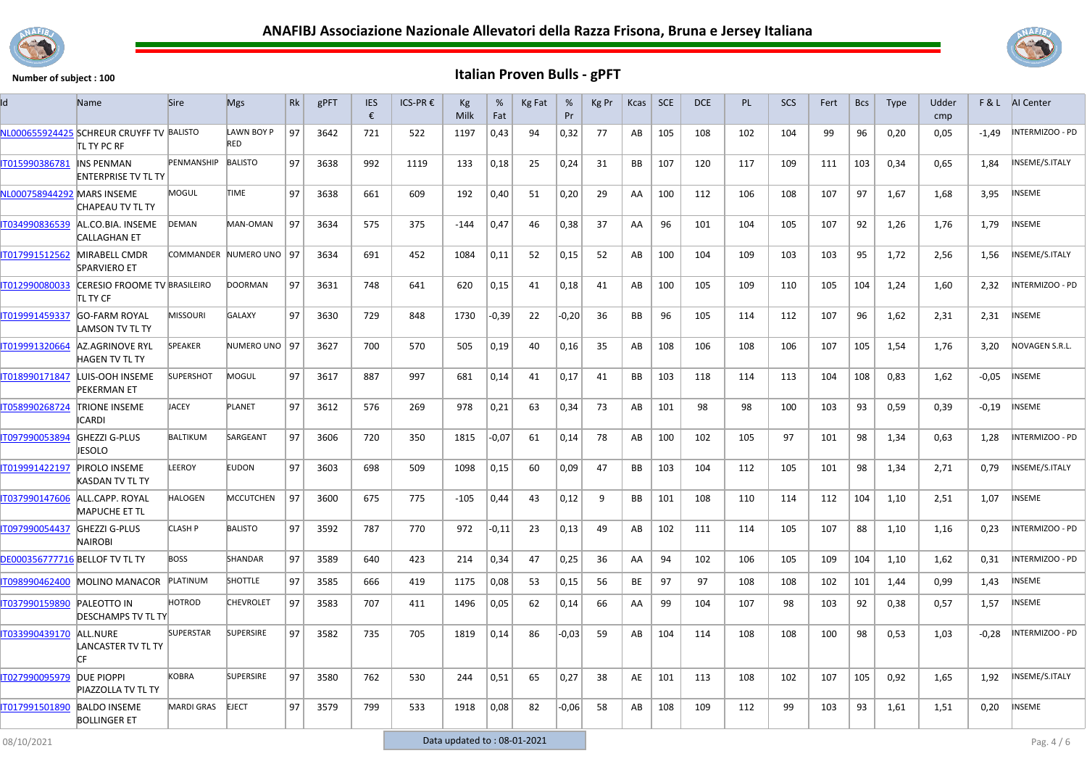



| Id                                    | <b>Name</b>                                              | <b>Sire</b>       | <b>Mgs</b>              | Rk | gPFT | <b>IES</b><br>€ | ICS-PR € | Kg<br>Milk | %<br>Fat | Kg Fat | %<br>Pr | Kg Pr | Kcas      | <b>SCE</b> | <b>DCE</b> | <b>PL</b> | <b>SCS</b> | Fert | <b>Bcs</b> | <b>Type</b> | Udder<br>cmp |         | <b>F&amp;L</b> AI Center |
|---------------------------------------|----------------------------------------------------------|-------------------|-------------------------|----|------|-----------------|----------|------------|----------|--------|---------|-------|-----------|------------|------------|-----------|------------|------|------------|-------------|--------------|---------|--------------------------|
|                                       | NL000655924425 SCHREUR CRUYFF TV BALISTO<br>itl ty PC RF |                   | LAWN BOY P<br>RED       | 97 | 3642 | 721             | 522      | 1197       | 0,43     | 94     | 0,32    | 77    | AB        | 105        | 108        | 102       | 104        | 99   | 96         | 0,20        | 0,05         | $-1.49$ | INTERMIZOO - PD          |
| IT015990386781                        | <b>INS PENMAN</b><br><b>ENTERPRISE TV TL TY</b>          | <b>PENMANSHIP</b> | <b>BALISTO</b>          | 97 | 3638 | 992             | 1119     | 133        | 0,18     | 25     | 0,24    | 31    | BB        | 107        | 120        | 117       | 109        | 111  | 103        | 0,34        | 0,65         | 1,84    | INSEME/S.ITALY           |
| NL000758944292 MARS INSEME            | CHAPEAU TV TL TY                                         | MOGUL             | TIME                    | 97 | 3638 | 661             | 609      | 192        | 0,40     | 51     | 0,20    | 29    | AA        | 100        | 112        | 106       | 108        | 107  | 97         | 1,67        | 1,68         | 3,95    | <b>NSEME</b>             |
| IT034990836539                        | AL.CO.BIA. INSEME<br><b>CALLAGHAN ET</b>                 | <b>DEMAN</b>      | MAN-OMAN                | 97 | 3634 | 575             | 375      | $-144$     | 0,47     | 46     | 0,38    | 37    | AA        | 96         | 101        | 104       | 105        | 107  | 92         | 1,26        | 1,76         | 1,79    | <b>INSEME</b>            |
| IT017991512562                        | MIRABELL CMDR<br><b>SPARVIERO ET</b>                     |                   | COMMANDER NUMERO UNO 97 |    | 3634 | 691             | 452      | 1084       | 0,11     | 52     | 0,15    | 52    | AB        | 100        | 104        | 109       | 103        | 103  | 95         | 1,72        | 2,56         | 1,56    | NSEME/S.ITALY            |
| IT012990080033                        | CERESIO FROOME TV BRASILEIRO<br>itl ty CF                |                   | <b>DOORMAN</b>          | 97 | 3631 | 748             | 641      | 620        | 0,15     | 41     | 0,18    | 41    | AB        | 100        | 105        | 109       | 110        | 105  | 104        | 1,24        | 1,60         | 2,32    | INTERMIZOO - PD          |
| IT019991459337                        | <b>GO-FARM ROYAL</b><br>LAMSON TV TL TY                  | <b>MISSOURI</b>   | <b>GALAXY</b>           | 97 | 3630 | 729             | 848      | 1730       | $-0,39$  | 22     | $-0,20$ | 36    | <b>BB</b> | 96         | 105        | 114       | 112        | 107  | 96         | 1,62        | 2,31         | 2,31    | <b>INSEME</b>            |
| IT019991320664                        | AZ.AGRINOVE RYL<br><b>HAGEN TV TL TY</b>                 | <b>SPEAKER</b>    | NUMERO UNO 97           |    | 3627 | 700             | 570      | 505        | 0,19     | 40     | 0,16    | 35    | AB        | 108        | 106        | 108       | 106        | 107  | 105        | 1,54        | 1,76         | 3,20    | NOVAGEN S.R.L.           |
|                                       | T018990171847 LUIS-OOH INSEME<br>PEKERMAN ET             | <b>SUPERSHOT</b>  | MOGUL                   | 97 | 3617 | 887             | 997      | 681        | 0,14     | 41     | 0,17    | 41    | BB        | 103        | 118        | 114       | 113        | 104  | 108        | 0,83        | 1,62         | $-0.05$ | <b>NSEME</b>             |
| IT058990268724                        | <b>TRIONE INSEME</b><br><b>CARDI</b>                     | <b>JACEY</b>      | <b>PLANET</b>           | 97 | 3612 | 576             | 269      | 978        | 0,21     | 63     | 0,34    | 73    | AB        | 101        | 98         | 98        | 100        | 103  | 93         | 0,59        | 0,39         | $-0,19$ | NSEME                    |
| IT097990053894                        | <b>GHEZZI G-PLUS</b><br>JESOLO                           | <b>BALTIKUM</b>   | SARGEANT                | 97 | 3606 | 720             | 350      | 1815       | $-0,07$  | 61     | 0,14    | 78    | AB        | 100        | 102        | 105       | 97         | 101  | 98         | 1,34        | 0,63         | 1,28    | NTERMIZOO - PD           |
| IT019991422197                        | PIROLO INSEME<br>KASDAN TV TL TY                         | LEEROY            | <b>EUDON</b>            | 97 | 3603 | 698             | 509      | 1098       | 0,15     | 60     | 0,09    | 47    | <b>BB</b> | 103        | 104        | 112       | 105        | 101  | 98         | 1,34        | 2,71         | 0,79    | INSEME/S.ITALY           |
| IT037990147606                        | ALL.CAPP. ROYAL<br><b>MAPUCHE ET TL</b>                  | HALOGEN           | <b>MCCUTCHEN</b>        | 97 | 3600 | 675             | 775      | $-105$     | 0,44     | 43     | 0,12    | 9     | BB        | 101        | 108        | 110       | 114        | 112  | 104        | 1,10        | 2,51         | 1,07    | INSEME                   |
| T097990054437                         | <b>GHEZZI G-PLUS</b><br><b>NAIROBI</b>                   | CLASH P           | <b>BALISTO</b>          | 97 | 3592 | 787             | 770      | 972        | -0,11    | 23     | 0,13    | 49    | AB        | 102        | 111        | 114       | 105        | 107  | 88         | 1,10        | 1,16         | 0,23    | INTERMIZOO - PD          |
| <b>DE000356777716 BELLOF TV TL TY</b> |                                                          | <b>BOSS</b>       | SHANDAR                 | 97 | 3589 | 640             | 423      | 214        | 0,34     | 47     | 0,25    | 36    | AA        | 94         | 102        | 106       | 105        | 109  | 104        | 1,10        | 1,62         | 0,31    | INTERMIZOO - PD          |
| IT098990462400                        | <b>MOLINO MANACOR</b>                                    | PLATINUM          | <b>SHOTTLE</b>          | 97 | 3585 | 666             | 419      | 1175       | 0,08     | 53     | 0,15    | 56    | ВE        | 97         | 97         | 108       | 108        | 102  | 101        | 1,44        | 0,99         | 1,43    | <b>NSEME</b>             |
| IT037990159890                        | <b>PALEOTTO IN</b><br><b>DESCHAMPS TV TL TY</b>          | <b>HOTROD</b>     | <b>CHEVROLET</b>        | 97 | 3583 | 707             | 411      | 1496       | 0,05     | 62     | 0,14    | 66    | AA        | 99         | 104        | 107       | 98         | 103  | 92         | 0,38        | 0,57         | 1,57    | INSEME                   |
| IT033990439170                        | ALL.NURE<br>LANCASTER TV TL TY<br>ГF                     | <b>SUPERSTAR</b>  | <b>SUPERSIRE</b>        | 97 | 3582 | 735             | 705      | 1819       | 0,14     | 86     | $-0.03$ | 59    | AB        | 104        | 114        | 108       | 108        | 100  | 98         | 0,53        | 1,03         | $-0,28$ | NTERMIZOO - PD           |
| IT027990095979                        | DUE PIOPPI<br>PIAZZOLLA TV TL TY                         | <b>KOBRA</b>      | <b>SUPERSIRE</b>        | 97 | 3580 | 762             | 530      | 244        | 0,51     | 65     | 0,27    | 38    | AE        | 101        | 113        | 108       | 102        | 107  | 105        | 0,92        | 1,65         | 1,92    | INSEME/S.ITALY           |
| IT017991501890                        | <b>BALDO INSEME</b><br><b>BOLLINGER ET</b>               | <b>MARDI GRAS</b> | <b>EJECT</b>            | 97 | 3579 | 799             | 533      | 1918       | 0,08     | 82     | $-0,06$ | 58    | AB        | 108        | 109        | 112       | 99         | 103  | 93         | 1,61        | 1,51         | 0,20    | <b>NSEME</b>             |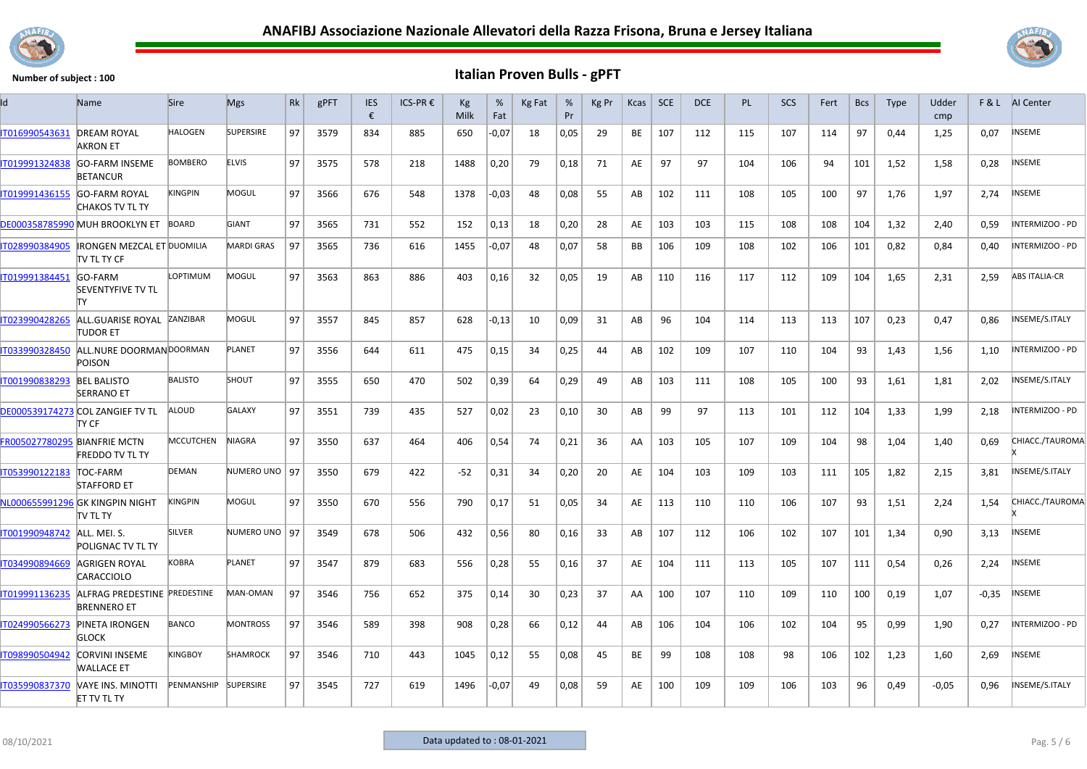



| ld                           | <b>Name</b>                                        | <b>Sire</b>                 | <b>Mgs</b>        | <b>Rk</b> | gPFT | <b>IES</b><br>€ | ICS-PR€ | Кg<br>Milk | %<br>Fat | Kg Fat | %<br>Pr | Kg Pr | Kcas | <b>SCE</b> | <b>DCE</b> | <b>PL</b> | <b>SCS</b> | Fert | <b>Bcs</b> | <b>Type</b> | Udder<br>cmp |         | F & L AI Center      |
|------------------------------|----------------------------------------------------|-----------------------------|-------------------|-----------|------|-----------------|---------|------------|----------|--------|---------|-------|------|------------|------------|-----------|------------|------|------------|-------------|--------------|---------|----------------------|
| IT016990543631               | <b>DREAM ROYAL</b><br><b>AKRON ET</b>              | <b>HALOGEN</b>              | <b>SUPERSIRE</b>  | 97        | 3579 | 834             | 885     | 650        | $-0,07$  | 18     | 0,05    | 29    | BE   | 107        | 112        | 115       | 107        | 114  | 97         | 0,44        | 1,25         | 0.07    | INSEME               |
| IT019991324838               | <b>GO-FARM INSEME</b><br><b>BETANCUR</b>           | <b>BOMBERO</b>              | <b>ELVIS</b>      | 97        | 3575 | 578             | 218     | 1488       | 0,20     | 79     | 0,18    | 71    | AE   | 97         | 97         | 104       | 106        | 94   | 101        | 1,52        | 1,58         | 0,28    | <b>INSEME</b>        |
| IT019991436155               | <b>GO-FARM ROYAL</b><br>CHAKOS TV TL TY            | <b>KINGPIN</b>              | <b>MOGUL</b>      | 97        | 3566 | 676             | 548     | 1378       | $-0,03$  | 48     | 0,08    | 55    | AB   | 102        | 111        | 108       | 105        | 100  | 97         | 1,76        | 1,97         | 2,74    | <b>INSEME</b>        |
|                              | DE000358785990 MUH BROOKLYN ET                     | <b>BOARD</b>                | GIANT             | 97        | 3565 | 731             | 552     | 152        | 0,13     | 18     | 0,20    | 28    | AE   | 103        | 103        | 115       | 108        | 108  | 104        | 1,32        | 2.40         | 0.59    | INTERMIZOO - PD      |
| IT028990384905               | <b>IRONGEN MEZCAL ET DUOMILIA</b><br>itv tl ty CF  |                             | <b>MARDI GRAS</b> | 97        | 3565 | 736             | 616     | 1455       | $-0,07$  | 48     | 0,07    | 58    | BB   | 106        | 109        | 108       | 102        | 106  | 101        | 0,82        | 0,84         | 0,40    | INTERMIZOO - PD      |
| IT019991384451               | <b>GO-FARM</b><br><b>SEVENTYFIVE TV TL</b><br>ITY. | LOPTIMUM                    | MOGUL             | 97        | 3563 | 863             | 886     | 403        | 0,16     | 32     | 0,05    | 19    | AB   | 110        | 116        | 117       | 112        | 109  | 104        | 1,65        | 2,31         | 2,59    | <b>ABS ITALIA-CR</b> |
| IT023990428265               | ALL.GUARISE ROYAL<br>TUDOR ET                      | ZANZIBAR                    | <b>MOGUL</b>      | 97        | 3557 | 845             | 857     | 628        | $-0,13$  | 10     | 0,09    | 31    | AB   | 96         | 104        | 114       | 113        | 113  | 107        | 0,23        | 0.47         | 0.86    | INSEME/S.ITALY       |
| IT033990328450               | ALL.NURE DOORMANDOORMAN<br>POISON                  |                             | PLANET            | 97        | 3556 | 644             | 611     | 475        | 0,15     | 34     | 0,25    | 44    | AB   | 102        | 109        | 107       | 110        | 104  | 93         | 1,43        | 1,56         | 1,10    | INTERMIZOO - PD      |
| IT001990838293               | <b>BEL BALISTO</b><br><b>SERRANO ET</b>            | <b>BALISTO</b>              | SHOUT             | 97        | 3555 | 650             | 470     | 502        | 0,39     | 64     | 0,29    | 49    | AB   | 103        | 111        | 108       | 105        | 100  | 93         | 1,61        | 1,81         | 2,02    | INSEME/S.ITALY       |
|                              | DE000539174273 COL ZANGIEF TV TL<br>ity CF         | ALOUD                       | <b>GALAXY</b>     | 97        | 3551 | 739             | 435     | 527        | 0,02     | 23     | 0,10    | 30    | AB   | 99         | 97         | 113       | 101        | 112  | 104        | 1,33        | 1,99         | 2,18    | NTERMIZOO - PD       |
| FR005027780295 BIANFRIE MCTN | <b>FREDDO TV TL TY</b>                             | <b>MCCUTCHEN</b>            | <b>NIAGRA</b>     | 97        | 3550 | 637             | 464     | 406        | 0,54     | 74     | 0,21    | 36    | AA   | 103        | 105        | 107       | 109        | 104  | 98         | 1,04        | 1,40         | 0,69    | CHIACC./TAUROMA      |
| IT053990122183               | <b>TOC-FARM</b><br><b>STAFFORD ET</b>              | <b>DEMAN</b>                | NUMERO UNO   97   |           | 3550 | 679             | 422     | $-52$      | 0,31     | 34     | 0,20    | 20    | AE   | 104        | 103        | 109       | 103        | 111  | 105        | 1,82        | 2,15         | 3,81    | INSEME/S.ITALY       |
|                              | NL000655991296 GK KINGPIN NIGHT<br>itv tl ty       | <b>KINGPIN</b>              | <b>MOGUL</b>      | 97        | 3550 | 670             | 556     | 790        | 0,17     | 51     | 0,05    | 34    | AE   | 113        | 110        | 110       | 106        | 107  | 93         | 1,51        | 2,24         | 1,54    | CHIACC./TAUROMA      |
| IT001990948742               | ALL. MEI. S.<br>POLIGNAC TV TL TY                  | <b>SILVER</b>               | NUMERO UNO   97   |           | 3549 | 678             | 506     | 432        | 0,56     | 80     | 0,16    | 33    | AB   | 107        | 112        | 106       | 102        | 107  | 101        | 1,34        | 0.90         | 3,13    | NSEME                |
| IT034990894669               | AGRIGEN ROYAL<br>CARACCIOLO                        | <b><obra< b=""></obra<></b> | PLANET            | 97        | 3547 | 879             | 683     | 556        | 0,28     | 55     | 0,16    | 37    | AE   | 104        | 111        | 113       | 105        | 107  | 111        | 0,54        | 0,26         | 2.24    | INSEME               |
| T019991136235                | ALFRAG PREDESTINE PREDESTINE<br><b>BRENNERO ET</b> |                             | MAN-OMAN          | 97        | 3546 | 756             | 652     | 375        | 0,14     | 30     | 0,23    | 37    | AA   | 100        | 107        | 110       | 109        | 110  | 100        | 0.19        | 1.07         | $-0,35$ | NSEME                |
| IT024990566273               | <b>PINETA IRONGEN</b><br><b>GLOCK</b>              | <b>BANCO</b>                | <b>MONTROSS</b>   | 97        | 3546 | 589             | 398     | 908        | 0,28     | 66     | 0,12    | 44    | AB   | 106        | 104        | 106       | 102        | 104  | 95         | 0,99        | 1,90         | 0,27    | INTERMIZOO - PD      |
| IT098990504942               | <b>CORVINI INSEME</b><br>WALLACE ET                | KINGBOY                     | <b>SHAMROCK</b>   | 97        | 3546 | 710             | 443     | 1045       | 0,12     | 55     | 0,08    | 45    | BE   | 99         | 108        | 108       | 98         | 106  | 102        | 1,23        | 1,60         | 2,69    | NSEME                |
| IT035990837370               | VAYE INS. MINOTTI<br><b>ET TV TL TY</b>            | PENMANSHIP                  | <b>SUPERSIRE</b>  | 97        | 3545 | 727             | 619     | 1496       | $-0,07$  | 49     | 0,08    | 59    | AE   | 100        | 109        | 109       | 106        | 103  | 96         | 0,49        | $-0.05$      | 0,96    | INSEME/S.ITALY       |